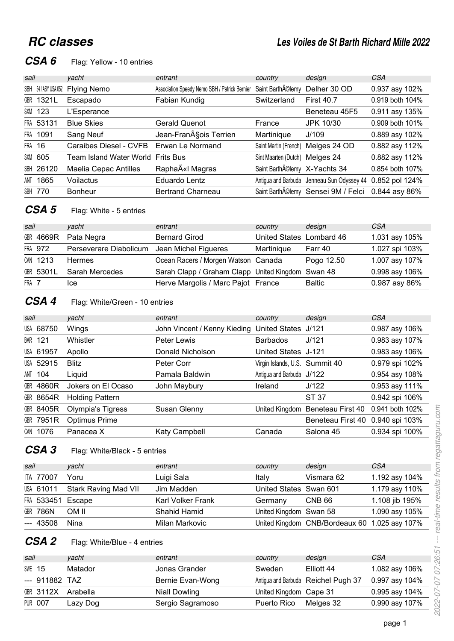# **RC** classes

# CSA 6 Flag: Yellow - 10 entries

| sail   |                      | vacht                   | entrant                                       | country                        | design                                            | CSA             |
|--------|----------------------|-------------------------|-----------------------------------------------|--------------------------------|---------------------------------------------------|-----------------|
|        | SBH 54 / ASY USA 052 | <b>Flying Nemo</b>      | Association Speedy Nemo SBH / Patrick Bernier | Saint Barth AClemy             | Delher 30 OD                                      | 0.937 asy 102%  |
|        | GBR 1321L            | Escapado                | Fabian Kundig                                 | Switzerland                    | <b>First 40.7</b>                                 | 0.919 both 104% |
|        | <b>SXM 123</b>       | L'Esperance             |                                               |                                | Beneteau 45F5                                     | 0.911 asy 135%  |
|        | FRA 53131            | <b>Blue Skies</b>       | <b>Gerald Quenot</b>                          | France                         | JPK 10/30                                         | 0.909 both 101% |
|        | FRA 1091             | Sang Neuf               | Jean-François Terrien                         | Martinique                     | J/109                                             | 0.889 asy 102%  |
| FRA 16 |                      | Caraibes Diesel - CVFB  | Erwan Le Normand                              | Saint Martin (French)          | Melges 24 OD                                      | 0.882 asy 112%  |
|        | <b>SXM 605</b>       | Team Island Water World | <b>Frits Bus</b>                              | Sint Maarten (Dutch) Melges 24 |                                                   | 0.882 asy 112%  |
|        | <b>SBH 26120</b>     | Maelia Cepac Antilles   | Rapha«I Magras                                | Saint BarthA©lemy X-Yachts 34  |                                                   | 0.854 both 107% |
|        | ANT 1865             | Voilactus               | Eduardo Lentz                                 |                                | Antigua and Barbuda Jenneau Sun Odyssey 44        | 0.852 pol 124%  |
|        | <b>SBH 770</b>       | <b>Bonheur</b>          | <b>Bertrand Charneau</b>                      |                                | Saint BarthA©lemy Sensei 9M / Felci 0.844 asy 86% |                 |

## **CSA 5** Flag: White - 5 entries

| sail  |           | vacht                  | entrant                                           | country                  | design        | CSA            |
|-------|-----------|------------------------|---------------------------------------------------|--------------------------|---------------|----------------|
|       | GBR 4669R | Pata Negra             | <b>Bernard Girod</b>                              | United States Lombard 46 |               | 1.031 asy 105% |
|       | FRA 972   | Perseverare Diabolicum | Jean Michel Figueres                              | Martinique               | Farr 40       | 1.027 spi 103% |
|       | CAN 1213  | <b>Hermes</b>          | Ocean Racers / Morgen Watson Canada               |                          | Pogo 12.50    | 1.007 asy 107% |
|       | GBR 5301L | Sarah Mercedes         | Sarah Clapp / Graham Clapp United Kingdom Swan 48 |                          |               | 0.998 asy 106% |
| FRA 7 |           | Ice                    | Herve Margolis / Marc Pajot France                |                          | <b>Baltic</b> | 0.987 asy 86%  |

## **CSA 4** Flag: White/Green - 10 entries

| sail |                  | vacht                  | entrant                      | country                        | design                           | CSA             |
|------|------------------|------------------------|------------------------------|--------------------------------|----------------------------------|-----------------|
|      | USA 68750        | Wings                  | John Vincent / Kenny Kieding | United States J/121            |                                  | 0.987 asy 106%  |
| BAR  | 121              | Whistler               | Peter Lewis                  | <b>Barbados</b>                | J/121                            | 0.983 asy 107%  |
|      | USA 61957        | Apollo                 | Donald Nicholson             | United States J-121            |                                  | 0.983 asy 106%  |
|      | USA 52915        | <b>Blitz</b>           | Peter Corr                   | Virgin Islands, U.S. Summit 40 |                                  | 0.979 spi 102%  |
|      | ANT 104          | Liquid                 | Pamala Baldwin               | Antigua and Barbuda J/122      |                                  | 0.954 asy 108%  |
|      | <b>GBR 4860R</b> | Jokers on El Ocaso     | John Maybury                 | Ireland                        | J/122                            | 0.953 asy 111%  |
|      | GBR 8654R        | <b>Holding Pattern</b> |                              |                                | ST 37                            | 0.942 spi 106%  |
|      | GBR 8405R        | Olympia's Tigress      | Susan Glenny                 | United Kingdom                 | Beneteau First 40                | 0.941 both 102% |
|      | GBR 7951R        | <b>Optimus Prime</b>   |                              |                                | Beneteau First 40 0.940 spi 103% |                 |
|      | CAN 1076         | Panacea X              | Katy Campbell                | Canada                         | Salona 45                        | 0.934 spi 100%  |

## **CSA 3** Flag: White/Black - 5 entries

| sail |                   | yacht                          | entrant                  | country                | design                                        | <b>CSA</b>     |
|------|-------------------|--------------------------------|--------------------------|------------------------|-----------------------------------------------|----------------|
|      | <b>ITA 77007</b>  | Yoru                           | Luigi Sala               | Italy                  | Vismara 62                                    | 1.192 asy 104% |
|      |                   | USA 61011 Stark Raving Mad VII | Jim Madden               | United States Swan 601 |                                               | 1.179 asy 110% |
|      | FRA 533451 Escape |                                | <b>Karl Volker Frank</b> | Germany                | CNB <sub>66</sub>                             | 1.108 jib 195% |
|      | <b>GBR 786N</b>   | OM II                          | Shahid Hamid             | United Kingdom Swan 58 |                                               | 1.090 asy 105% |
|      | --- 43508         | Nina                           | Milan Markovic           |                        | United Kingdom CNB/Bordeaux 60 1.025 asy 107% |                |

## **CSA 2** Flag: White/Blue - 4 entries

| sail   |                | vacht    | entrant          | country                | design                              | CSA            |
|--------|----------------|----------|------------------|------------------------|-------------------------------------|----------------|
| SWE 15 |                | Matador  | Jonas Grander    | Sweden                 | Elliott 44                          | 1.082 asy 106% |
|        | --- 911882 TAZ |          | Bernie Evan-Wong |                        | Antigua and Barbuda Reichel Pugh 37 | 0.997 asy 104% |
|        | GBR 3112X      | Arabella | Niall Dowling    | United Kingdom Cape 31 |                                     | 0.995 asy 104% |
|        | <b>PUR 007</b> | Lazy Dog | Sergio Sagramoso | Puerto Rico            | Melges 32                           | 0.990 asy 107% |